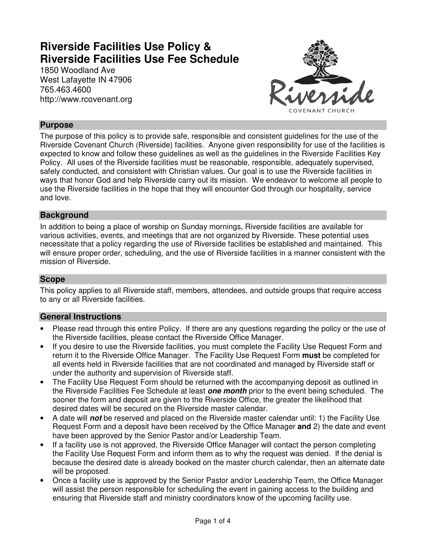# **Riverside Facilities Use Policy & Riverside Facilities Use Fee Schedule**

1850 Woodland Ave West Lafayette IN 47906 765.463.4600 http://www.rcovenant.org



# **Purpose**

The purpose of this policy is to provide safe, responsible and consistent guidelines for the use of the Riverside Covenant Church (Riverside) facilities. Anyone given responsibility for use of the facilities is expected to know and follow these guidelines as well as the guidelines in the Riverside Facilities Key Policy. All uses of the Riverside facilities must be reasonable, responsible, adequately supervised, safely conducted, and consistent with Christian values. Our goal is to use the Riverside facilities in ways that honor God and help Riverside carry out its mission. We endeavor to welcome all people to use the Riverside facilities in the hope that they will encounter God through our hospitality, service and love.

# **Background**

In addition to being a place of worship on Sunday mornings, Riverside facilities are available for various activities, events, and meetings that are not organized by Riverside. These potential uses necessitate that a policy regarding the use of Riverside facilities be established and maintained. This will ensure proper order, scheduling, and the use of Riverside facilities in a manner consistent with the mission of Riverside.

# **Scope**

This policy applies to all Riverside staff, members, attendees, and outside groups that require access to any or all Riverside facilities.

# **General Instructions**

- Please read through this entire Policy. If there are any questions regarding the policy or the use of the Riverside facilities, please contact the Riverside Office Manager.
- If you desire to use the Riverside facilities, you must complete the Facility Use Request Form and return it to the Riverside Office Manager. The Facility Use Request Form **must** be completed for all events held in Riverside facilities that are not coordinated and managed by Riverside staff or under the authority and supervision of Riverside staff.
- The Facility Use Request Form should be returned with the accompanying deposit as outlined in the Riverside Facilities Fee Schedule at least **one month** prior to the event being scheduled. The sooner the form and deposit are given to the Riverside Office, the greater the likelihood that desired dates will be secured on the Riverside master calendar.
- A date will **not** be reserved and placed on the Riverside master calendar until: 1) the Facility Use Request Form and a deposit have been received by the Office Manager **and** 2) the date and event have been approved by the Senior Pastor and/or Leadership Team.
- If a facility use is not approved, the Riverside Office Manager will contact the person completing the Facility Use Request Form and inform them as to why the request was denied. If the denial is because the desired date is already booked on the master church calendar, then an alternate date will be proposed.
- Once a facility use is approved by the Senior Pastor and/or Leadership Team, the Office Manager will assist the person responsible for scheduling the event in gaining access to the building and ensuring that Riverside staff and ministry coordinators know of the upcoming facility use.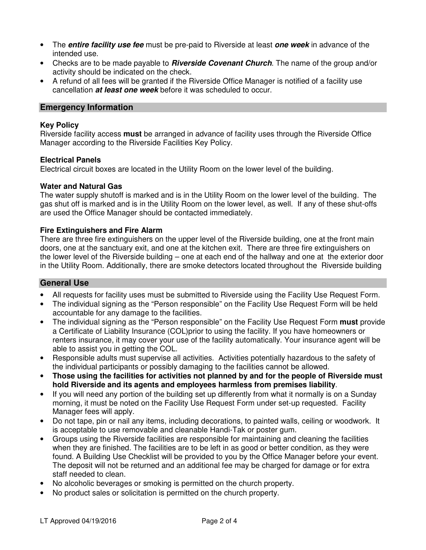- The **entire facility use fee** must be pre-paid to Riverside at least **one week** in advance of the intended use.
- Checks are to be made payable to **Riverside Covenant Church**. The name of the group and/or activity should be indicated on the check.
- A refund of all fees will be granted if the Riverside Office Manager is notified of a facility use cancellation **at least one week** before it was scheduled to occur.

### **Emergency Information**

#### **Key Policy**

Riverside facility access **must** be arranged in advance of facility uses through the Riverside Office Manager according to the Riverside Facilities Key Policy.

#### **Electrical Panels**

Electrical circuit boxes are located in the Utility Room on the lower level of the building.

#### **Water and Natural Gas**

The water supply shutoff is marked and is in the Utility Room on the lower level of the building. The gas shut off is marked and is in the Utility Room on the lower level, as well. If any of these shut-offs are used the Office Manager should be contacted immediately.

#### **Fire Extinguishers and Fire Alarm**

There are three fire extinguishers on the upper level of the Riverside building, one at the front main doors, one at the sanctuary exit, and one at the kitchen exit. There are three fire extinguishers on the lower level of the Riverside building – one at each end of the hallway and one at the exterior door in the Utility Room. Additionally, there are smoke detectors located throughout the Riverside building

# **General Use**

- All requests for facility uses must be submitted to Riverside using the Facility Use Request Form.
- The individual signing as the "Person responsible" on the Facility Use Request Form will be held accountable for any damage to the facilities.
- The individual signing as the "Person responsible" on the Facility Use Request Form **must** provide a Certificate of Liability Insurance (COL)prior to using the facility. If you have homeowners or renters insurance, it may cover your use of the facility automatically. Your insurance agent will be able to assist you in getting the COL.
- Responsible adults must supervise all activities. Activities potentially hazardous to the safety of the individual participants or possibly damaging to the facilities cannot be allowed.
- **Those using the facilities for activities not planned by and for the people of Riverside must hold Riverside and its agents and employees harmless from premises liability**.
- If you will need any portion of the building set up differently from what it normally is on a Sunday morning, it must be noted on the Facility Use Request Form under set-up requested. Facility Manager fees will apply.
- Do not tape, pin or nail any items, including decorations, to painted walls, ceiling or woodwork. It is acceptable to use removable and cleanable Handi-Tak or poster gum.
- Groups using the Riverside facilities are responsible for maintaining and cleaning the facilities when they are finished. The facilities are to be left in as good or better condition, as they were found. A Building Use Checklist will be provided to you by the Office Manager before your event. The deposit will not be returned and an additional fee may be charged for damage or for extra staff needed to clean.
- No alcoholic beverages or smoking is permitted on the church property.
- No product sales or solicitation is permitted on the church property.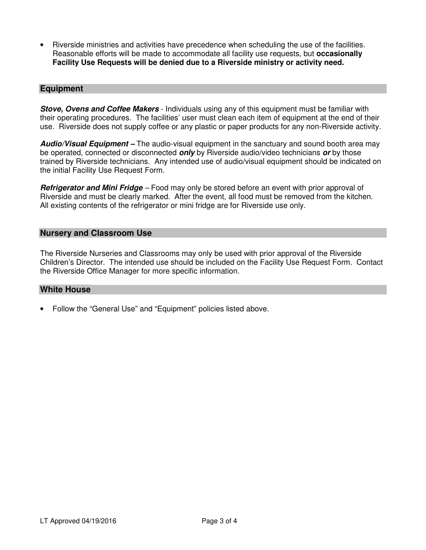• Riverside ministries and activities have precedence when scheduling the use of the facilities. Reasonable efforts will be made to accommodate all facility use requests, but **occasionally Facility Use Requests will be denied due to a Riverside ministry or activity need.**

#### **Equipment**

**Stove, Ovens and Coffee Makers** - Individuals using any of this equipment must be familiar with their operating procedures. The facilities' user must clean each item of equipment at the end of their use. Riverside does not supply coffee or any plastic or paper products for any non-Riverside activity.

**Audio/Visual Equipment –** The audio-visual equipment in the sanctuary and sound booth area may be operated, connected or disconnected **only** by Riverside audio/video technicians **or** by those trained by Riverside technicians. Any intended use of audio/visual equipment should be indicated on the initial Facility Use Request Form.

**Refrigerator and Mini Fridge** – Food may only be stored before an event with prior approval of Riverside and must be clearly marked. After the event, all food must be removed from the kitchen. All existing contents of the refrigerator or mini fridge are for Riverside use only.

### **Nursery and Classroom Use**

The Riverside Nurseries and Classrooms may only be used with prior approval of the Riverside Children's Director. The intended use should be included on the Facility Use Request Form. Contact the Riverside Office Manager for more specific information.

# **White House**

• Follow the "General Use" and "Equipment" policies listed above.